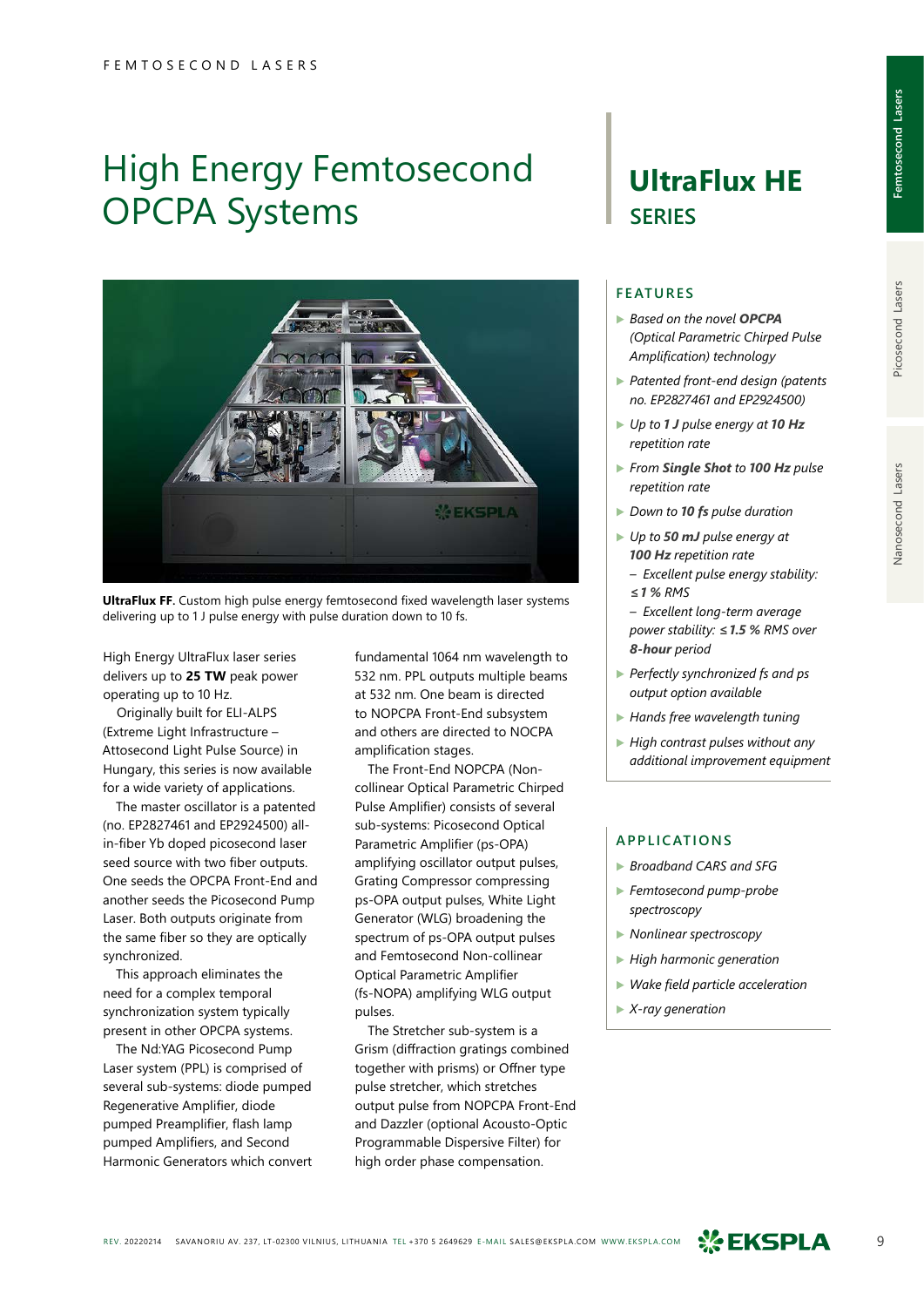# High Energy Femtosecond OPCPA Systems



**UltraFlux FF.** Custom high pulse energy femtosecond fixed wavelength laser systems delivering up to 1 J pulse energy with pulse duration down to 10 fs.

High Energy UltraFlux laser series delivers up to **25 TW** peak power operating up to 10 Hz.

Originally built for ELI‑ALPS (Extreme Light Infrastructure – Attosecond Light Pulse Source) in Hungary, this series is now available for a wide variety of applications.

The master oscillator is a patented (no. EP2827461 and EP2924500) allin-fiber Yb doped picosecond laser seed source with two fiber outputs. One seeds the OPCPA Front-End and another seeds the Picosecond Pump Laser. Both outputs originate from the same fiber so they are optically synchronized.

This approach eliminates the need for a complex temporal synchronization system typically present in other OPCPA systems.

The Nd:YAG Picosecond Pump Laser system (PPL) is comprised of several sub-systems: diode pumped Regenerative Amplifier, diode pumped Preamplifier, flash lamp pumped Amplifiers, and Second Harmonic Generators which convert fundamental 1064 nm wavelength to 532 nm. PPL outputs multiple beams at 532 nm. One beam is directed to NOPCPA Front-End subsystem and others are directed to NOCPA amplification stages.

The Front-End NOPCPA (Noncollinear Optical Parametric Chirped Pulse Amplifier) consists of several sub-systems: Picosecond Optical Parametric Amplifier (ps-OPA) amplifying oscillator output pulses, Grating Compressor compressing ps-OPA output pulses, White Light Generator (WLG) broadening the spectrum of ps-OPA output pulses and Femtosecond Non-collinear Optical Parametric Amplifier (fs‑NOPA) amplifying WLG output pulses.

The Stretcher sub-system is a Grism (diffraction gratings combined together with prisms) or Offner type pulse stretcher, which stretches output pulse from NOPCPA Front-End and Dazzler (optional Acousto-Optic Programmable Dispersive Filter) for high order phase compensation.

### **UltraFlux HE SERIES**

#### **FEATURES**

- ▶ *Based on the novel OPCPA (Optical Parametric Chirped Pulse Amplification) technology*
- ▶ *Patented front-end design (patents no. EP2827461 and EP2924500)*
- ▶ *Up to 1 J pulse energy at 10 Hz repetition rate*
- ▶ *From Single Shot to 100 Hz pulse repetition rate*
- ▶ *Down to 10 fs pulse duration*
- ▶ *Up to 50 mJ pulse energy at 100 Hz repetition rate*
	- *Excellent pulse energy stability: ≤1 % RMS*
	- *Excellent long-term average power stability: ≤1.5 % RMS over 8-hour period*
- ▶ *Perfectly synchronized fs and ps output option available*
- ▶ *Hands free wavelength tuning*
- ▶ *High contrast pulses without any additional improvement equipment*

#### **APPLICATIONS**

- ▶ *Broadband CARS and SFG*
- ▶ *Femtosecond pump-probe spectroscopy*
- ▶ *Nonlinear spectroscopy*
- ▶ *High harmonic generation*
- ▶ *Wake field particle acceleration*
- ▶ *X-ray generation*



Picosecond Lasers

Nanosecond Lasers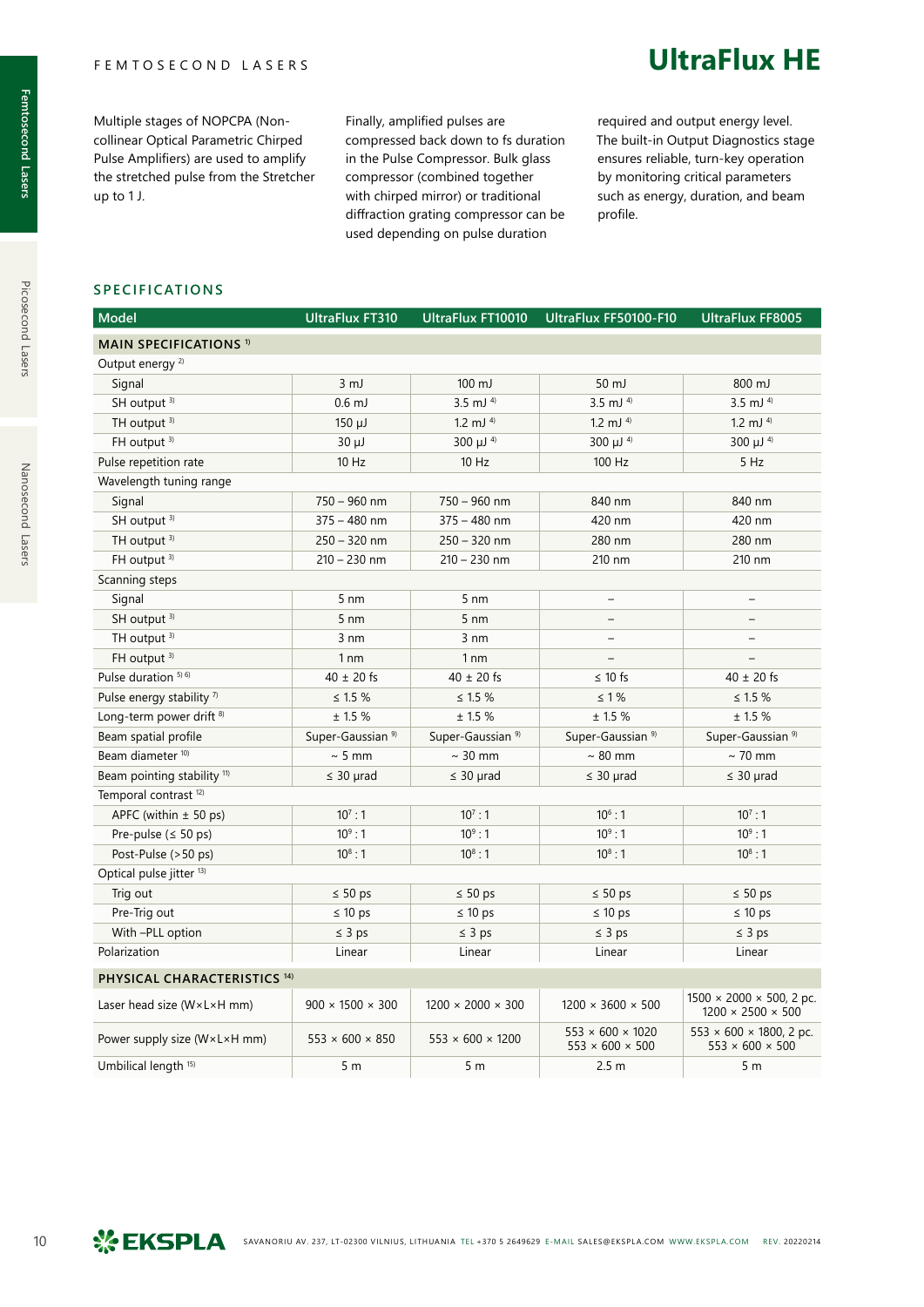Multiple stages of NOPCPA (Noncollinear Optical Parametric Chirped Pulse Amplifiers) are used to amplify the stretched pulse from the Stretcher up to 1 J.

Finally, amplified pulses are compressed back down to fs duration in the Pulse Compressor. Bulk glass compressor (combined together with chirped mirror) or traditional diffraction grating compressor can be used depending on pulse duration

required and output energy level. The built-in Output Diagnostics stage ensures reliable, turn-key operation by monitoring critical parameters such as energy, duration, and beam profile.

**UltraFlux HE**

#### **SPECIFICATIONS**

| <b>Model</b>                                | <b>UltraFlux FT310</b>       | <b>UltraFlux FT10010</b>      | UltraFlux FF50100-F10                                       | <b>UltraFlux FF8005</b>                                                |
|---------------------------------------------|------------------------------|-------------------------------|-------------------------------------------------------------|------------------------------------------------------------------------|
| <b>MAIN SPECIFICATIONS 1)</b>               |                              |                               |                                                             |                                                                        |
| Output energy <sup>2)</sup>                 |                              |                               |                                                             |                                                                        |
| Signal                                      | $3 \, \text{mJ}$             | $100 \mathrm{mJ}$             | 50 mJ                                                       | 800 mJ                                                                 |
| SH output <sup>3)</sup>                     | $0.6$ mJ                     | $3.5$ mJ $4$                  | $3.5$ mJ $4$                                                | $3.5$ mJ $4$                                                           |
| TH output <sup>3)</sup>                     | $150 \mu J$                  | 1.2 mJ $4$                    | 1.2 mJ $4$                                                  | 1.2 mJ $4$                                                             |
| FH output 3)                                | $30 \mu J$                   | 300 µJ 4)                     | $300 \mu J$ <sup>4)</sup>                                   | 300 µJ 4)                                                              |
| Pulse repetition rate                       | $10$ Hz                      | $10$ Hz                       | 100 Hz                                                      | 5 Hz                                                                   |
| Wavelength tuning range                     |                              |                               |                                                             |                                                                        |
| Signal                                      | $750 - 960$ nm               | $750 - 960$ nm                | 840 nm                                                      | 840 nm                                                                 |
| SH output <sup>3)</sup>                     | $375 - 480$ nm               | $375 - 480$ nm                | 420 nm                                                      | 420 nm                                                                 |
| TH output <sup>3)</sup>                     | $250 - 320$ nm               | $250 - 320$ nm                | 280 nm                                                      | 280 nm                                                                 |
| FH output 3)                                | $210 - 230$ nm               | $210 - 230$ nm                | 210 nm                                                      | 210 nm                                                                 |
| Scanning steps                              |                              |                               |                                                             |                                                                        |
| Signal                                      | $5 \text{ nm}$               | $5 \text{ nm}$                | $\qquad \qquad -$                                           | $\overline{\phantom{0}}$                                               |
| SH output <sup>3)</sup>                     | $5 \text{ nm}$               | $5 \text{ nm}$                | $\overline{\phantom{a}}$                                    |                                                                        |
| TH output <sup>3)</sup>                     | $3 \text{ nm}$               | $3 \text{ nm}$                | $\equiv$                                                    |                                                                        |
| FH output 3)                                | 1 <sub>nm</sub>              | 1 <sub>nm</sub>               | $\overline{\phantom{0}}$                                    |                                                                        |
| Pulse duration 5) 6)                        | $40 \pm 20$ fs               | $40 \pm 20$ fs                | $\leq 10$ fs                                                | $40 \pm 20$ fs                                                         |
| Pulse energy stability <sup>7)</sup>        | $\leq 1.5 \%$                | $\leq 1.5 \%$                 | $\leq 1\%$                                                  | $\leq 1.5 \%$                                                          |
| Long-term power drift <sup>8)</sup>         | ± 1.5%                       | ± 1.5%                        | ± 1.5%                                                      | ± 1.5%                                                                 |
| Beam spatial profile                        | Super-Gaussian <sup>9)</sup> | Super-Gaussian <sup>9)</sup>  | Super-Gaussian <sup>9)</sup>                                | Super-Gaussian <sup>9)</sup>                                           |
| Beam diameter <sup>10)</sup>                | $\sim$ 5 mm                  | $\sim$ 30 mm                  | $\sim 80$ mm                                                | $\sim$ 70 mm                                                           |
| Beam pointing stability <sup>11)</sup>      | $\leq 30$ µrad               | $\leq$ 30 µrad                | $\leq 30$ µrad                                              | $\leq 30$ µrad                                                         |
| Temporal contrast <sup>12)</sup>            |                              |                               |                                                             |                                                                        |
| APFC (within $\pm$ 50 ps)                   | $10^7:1$                     | $10^7:1$                      | $10^6:1$                                                    | $10^7:1$                                                               |
| Pre-pulse ( $\leq$ 50 ps)                   | $10^9:1$                     | $10^9:1$                      | $10^9:1$                                                    | $10^9:1$                                                               |
| Post-Pulse (>50 ps)                         | $10^8:1$                     | $10^8:1$                      | $10^8:1$                                                    | $10^8:1$                                                               |
| Optical pulse jitter <sup>13)</sup>         |                              |                               |                                                             |                                                                        |
| Trig out                                    | $\leq 50$ ps                 | $\leq 50$ ps                  | $\leq 50$ ps                                                | $\leq 50$ ps                                                           |
| Pre-Trig out                                | $\leq 10$ ps                 | $\leq 10$ ps                  | $\leq 10$ ps                                                | $\leq 10$ ps                                                           |
| With -PLL option                            | $\leq 3$ ps                  | $\leq$ 3 ps                   | $\leq$ 3 ps                                                 | $\leq 3$ ps                                                            |
| Polarization                                | Linear                       | Linear                        | Linear                                                      | Linear                                                                 |
| PHYSICAL CHARACTERISTICS <sup>14)</sup>     |                              |                               |                                                             |                                                                        |
| Laser head size ( $W \times L \times H$ mm) | $900 \times 1500 \times 300$ | $1200 \times 2000 \times 300$ | $1200 \times 3600 \times 500$                               | $1500 \times 2000 \times 500$ , 2 pc.<br>$1200 \times 2500 \times 500$ |
| Power supply size (W×L×H mm)                | $553 \times 600 \times 850$  | $553 \times 600 \times 1200$  | $553 \times 600 \times 1020$<br>$553 \times 600 \times 500$ | $553 \times 600 \times 1800$ , 2 pc.<br>$553 \times 600 \times 500$    |
| Umbilical length <sup>15)</sup>             | 5 m                          | 5 <sub>m</sub>                | 2.5 <sub>m</sub>                                            | 5 <sub>m</sub>                                                         |

Picosecond Lasers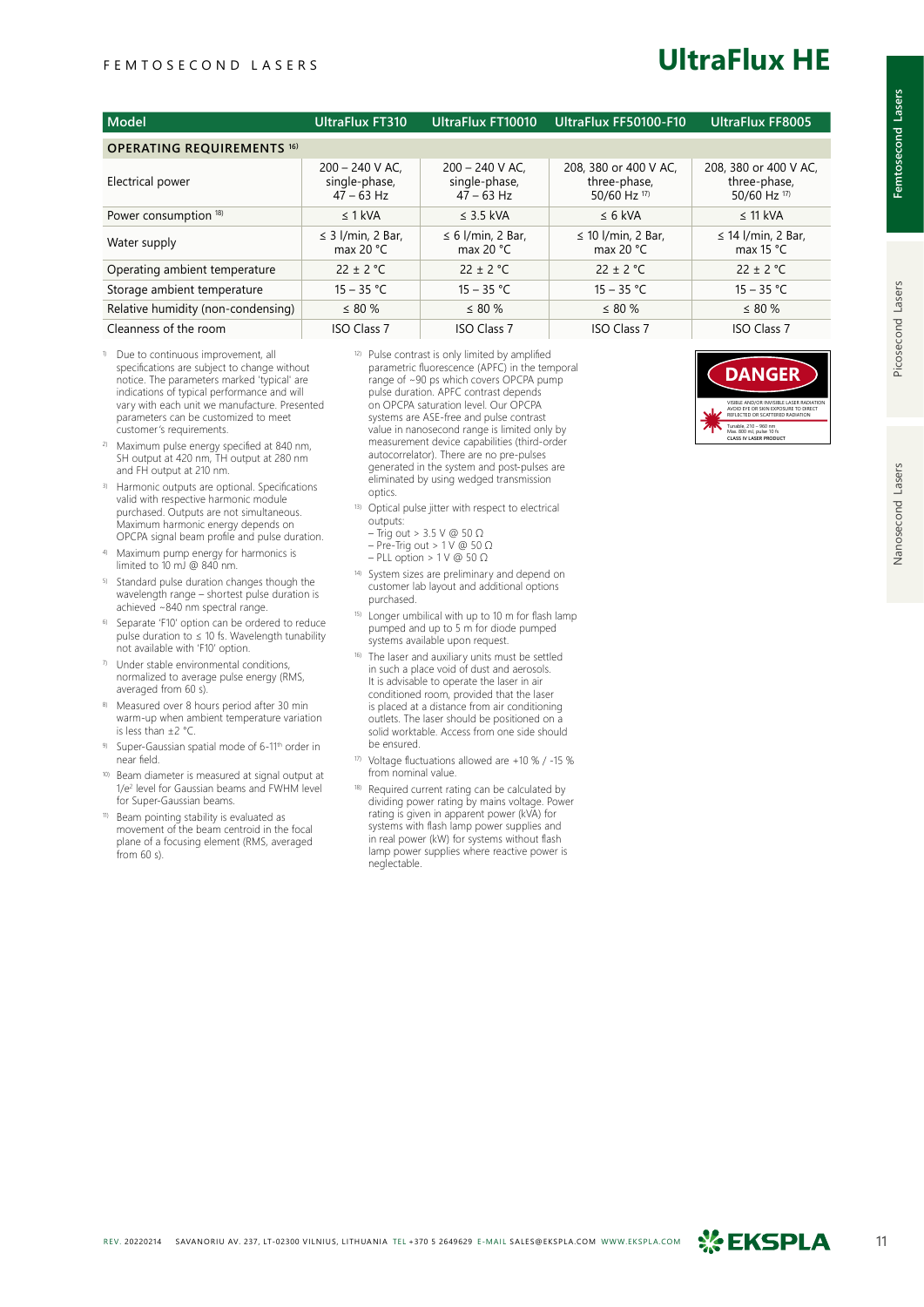### **UltraFlux HE**

| Model                              | <b>UltraFlux FT310</b>                             | UltraFlux FT10010                                  | UltraFlux FF50100-F10                                 | <b>UltraFlux FF8005</b>                               |
|------------------------------------|----------------------------------------------------|----------------------------------------------------|-------------------------------------------------------|-------------------------------------------------------|
| <b>OPERATING REQUIREMENTS 16)</b>  |                                                    |                                                    |                                                       |                                                       |
| Electrical power                   | $200 - 240$ V AC.<br>single-phase,<br>$47 - 63$ Hz | $200 - 240$ V AC.<br>single-phase,<br>$47 - 63$ Hz | 208, 380 or 400 V AC.<br>three-phase,<br>50/60 Hz 17) | 208, 380 or 400 V AC,<br>three-phase,<br>50/60 Hz 17) |
| Power consumption 18)              | $\leq 1$ kVA                                       | $\leq$ 3.5 kVA                                     | $\leq 6$ kVA                                          | $\leq$ 11 kVA                                         |
| Water supply                       | $\leq$ 3 I/min, 2 Bar,<br>max 20 $^{\circ}$ C      | $\leq 6$ I/min, 2 Bar,<br>max 20 $\degree$ C       | $\leq$ 10 l/min, 2 Bar,<br>max 20 $\degree$ C         | $\leq$ 14 l/min, 2 Bar,<br>max 15 $\degree$ C         |
| Operating ambient temperature      | $22 \pm 2$ °C                                      | $22 \pm 2$ °C                                      | $22 \pm 2$ °C                                         | $22 \pm 2$ °C                                         |
| Storage ambient temperature        | $15 - 35 °C$                                       | $15 - 35 °C$                                       | $15 - 35 °C$                                          | $15 - 35 °C$                                          |
| Relative humidity (non-condensing) | $\leq$ 80 %                                        | $\leq 80\%$                                        | $\leq$ 80 %                                           | $\leq 80\%$                                           |
| Cleanness of the room              | <b>ISO Class 7</b>                                 | <b>ISO Class 7</b>                                 | <b>ISO Class 7</b>                                    | <b>ISO Class 7</b>                                    |

- 1) Due to continuous improvement, all specifications are subject to change without notice. The parameters marked 'typical' are indications of typical performance and will vary with each unit we manufacture. Presented parameters can be customized to meet customer's requirements.
- 2) Maximum pulse energy specified at 840 nm, SH output at 420 nm, TH output at 280 nm and FH output at 210 nm.
- <sup>3)</sup> Harmonic outputs are optional. Specifications valid with respective harmonic module purchased. Outputs are not simultaneous. Maximum harmonic energy depends on OPCPA signal beam profile and pulse duration.
- Maximum pump energy for harmonics is limited to 10 mJ @ 840 nm.
- 5) Standard pulse duration changes though the wavelength range – shortest pulse duration is achieved ~840 nm spectral range.
- Separate 'F10' option can be ordered to reduce pulse duration to ≤ 10 fs. Wavelength tunability not available with 'F10' option.
- $7$  Under stable environmental conditions, normalized to average pulse energy (RMS, averaged from 60 s).
- Measured over 8 hours period after 30 min warm-up when ambient temperature variation is less than ±2 °C.
- 9) Super-Gaussian spatial mode of 6-11<sup>th</sup> order in near field.
- Beam diameter is measured at signal output at 1/e2 level for Gaussian beams and FWHM level for Super-Gaussian beams.
- 11) Beam pointing stability is evaluated as movement of the beam centroid in the focal plane of a focusing element (RMS, averaged from  $60 s$ )
- 12) Pulse contrast is only limited by amplified parametric fluorescence (APFC) in the temporal range of ~90 ps which covers OPCPA pump pulse duration. APFC contrast depends on OPCPA saturation level. Our OPCPA systems are ASE-free and pulse contrast value in nanosecond range is limited only by measurement device capabilities (third-order autocorrelator). There are no pre-pulses generated in the system and post-pulses are eliminated by using wedged transmission optics.
- 13) Optical pulse jitter with respect to electrical outputs: – Trig out > 3.5 V @ 50  $\Omega$ 
	- Pre-Trig out > 1 V @ 50 Ω
	- PLL option > 1 V @ 50 Ω
- 14) System sizes are preliminary and depend on customer lab layout and additional options purchased.
- 15) Longer umbilical with up to 10 m for flash lamp pumped and up to 5 m for diode pumped systems available upon request.
- 16) The laser and auxiliary units must be settled in such a place void of dust and aerosols. It is advisable to operate the laser in air conditioned room, provided that the laser is placed at a distance from air conditioning outlets. The laser should be positioned on a solid worktable. Access from one side should be ensured.
- Voltage fluctuations allowed are +10 % / -15 % from nominal value.
- 18) Required current rating can be calculated by dividing power rating by mains voltage. Power rating is given in apparent power (kVA) for systems with flash lamp power supplies and in real power (kW) for systems without flash lamp power supplies where reactive power is neglectable.



**Femtosecond Lasers**

emtosecond Lasers

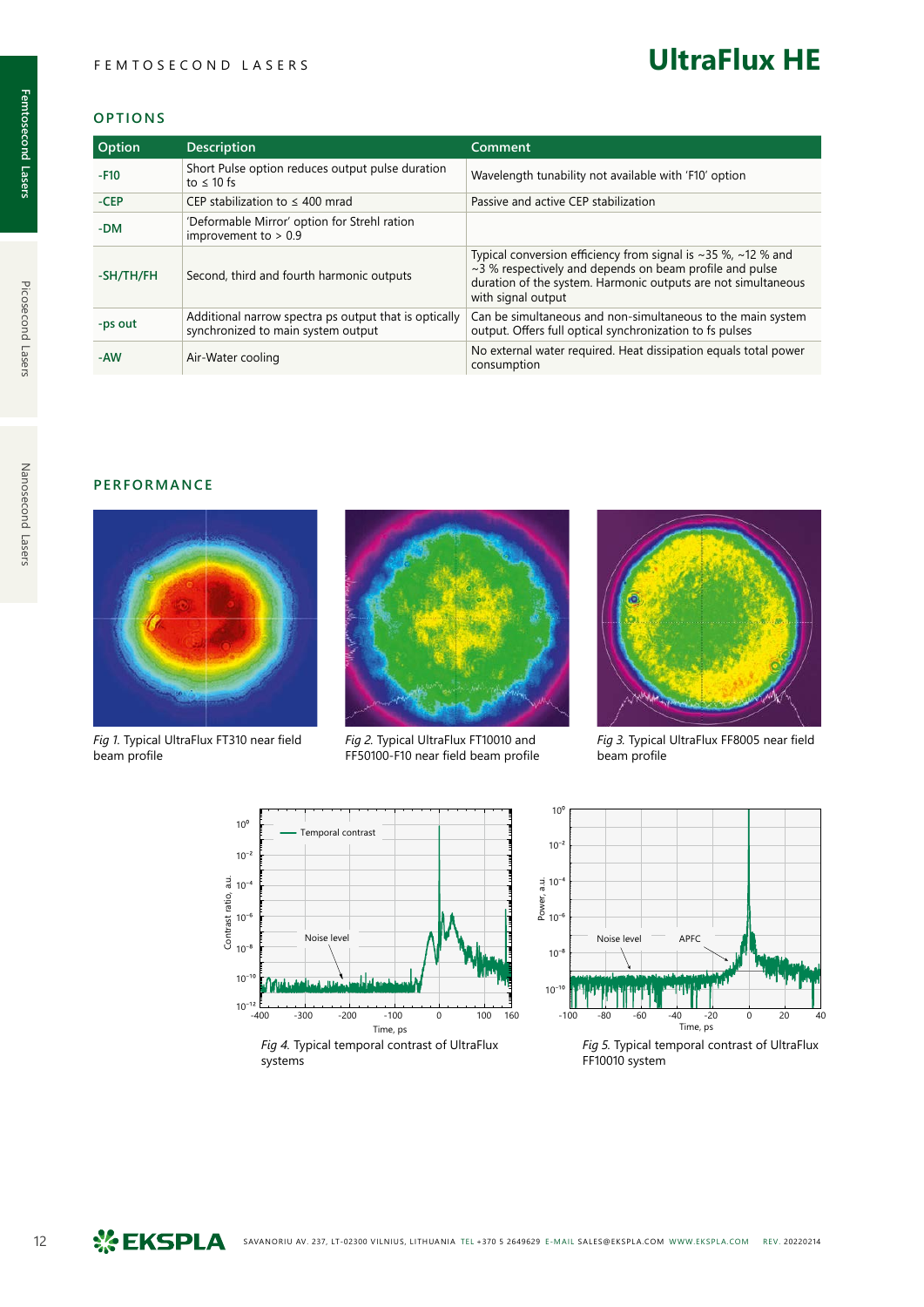### **UltraFlux HE**

#### **OPTIONS**

| <b>Option</b> | <b>Description</b>                                                                          | Comment                                                                                                                                                                                                                           |
|---------------|---------------------------------------------------------------------------------------------|-----------------------------------------------------------------------------------------------------------------------------------------------------------------------------------------------------------------------------------|
| $-F10$        | Short Pulse option reduces output pulse duration<br>to $\leq 10$ fs                         | Wavelength tunability not available with 'F10' option                                                                                                                                                                             |
| $-CEP$        | CEP stabilization to $\leq 400$ mrad                                                        | Passive and active CEP stabilization                                                                                                                                                                                              |
| -DM           | 'Deformable Mirror' option for Strehl ration<br>improvement to $> 0.9$                      |                                                                                                                                                                                                                                   |
| -SH/TH/FH     | Second, third and fourth harmonic outputs                                                   | Typical conversion efficiency from signal is $\sim$ 35 %, $\sim$ 12 % and<br>$\sim$ 3 % respectively and depends on beam profile and pulse<br>duration of the system. Harmonic outputs are not simultaneous<br>with signal output |
| -ps out       | Additional narrow spectra ps output that is optically<br>synchronized to main system output | Can be simultaneous and non-simultaneous to the main system<br>output. Offers full optical synchronization to fs pulses                                                                                                           |
| -AW           | Air-Water cooling                                                                           | No external water required. Heat dissipation equals total power<br>consumption                                                                                                                                                    |

#### **PERFORMANCE**



*Fig 1.* Typical UltraFlux FT310 near field beam profile



*Fig 2.* Typical UltraFlux FT10010 and FF50100-F10 near field beam profile



*Fig 3.* Typical UltraFlux FF8005 near field beam profile





*Fig 5.* Typical temporal contrast of UltraFlux FF10010 system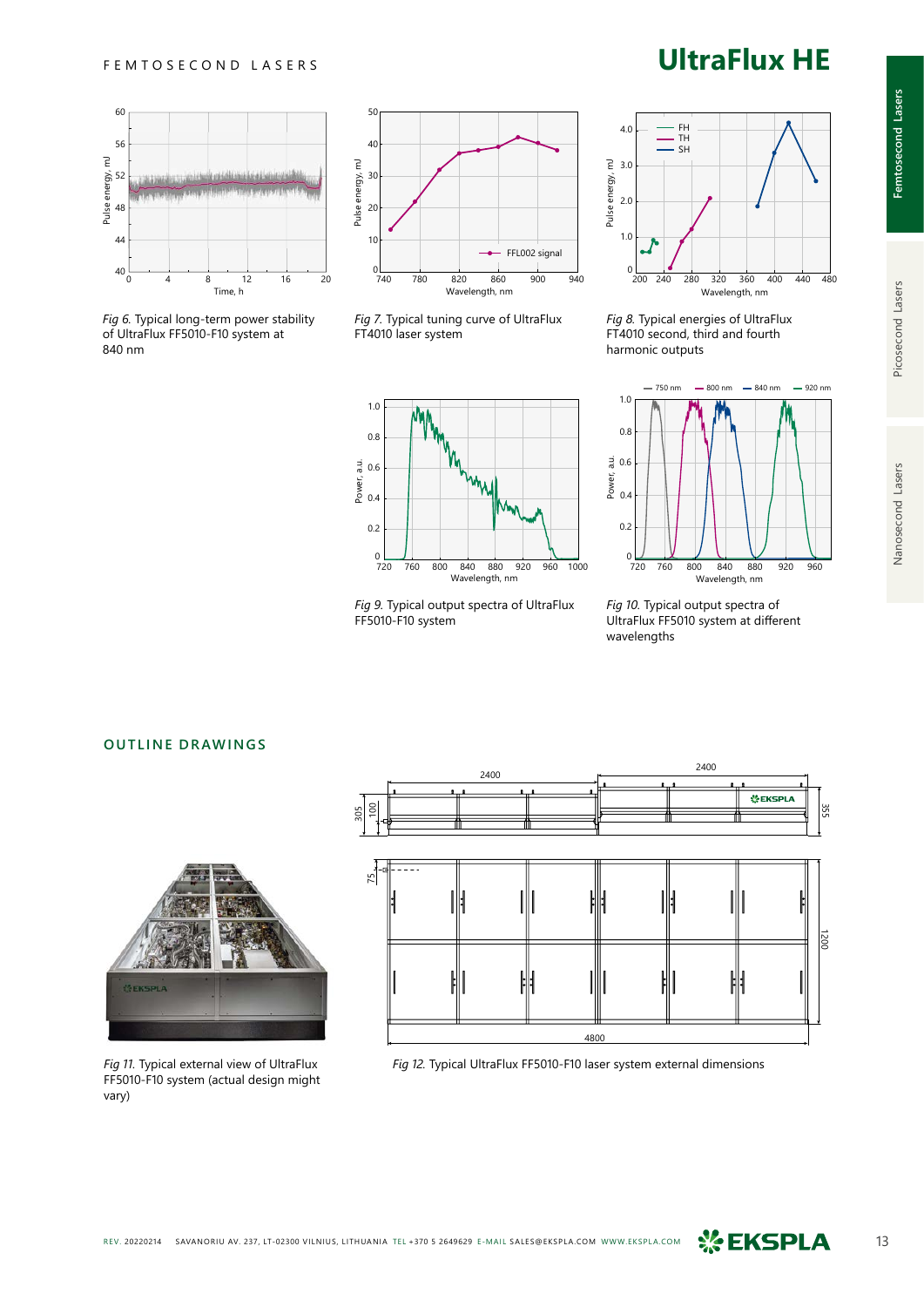

*Fig 6.* Typical long-term power stability of UltraFlux FF5010-F10 system at 840 nm



*Fig 7.* Typical tuning curve of UltraFlux FT4010 laser system



*Fig 9.* Typical output spectra of UltraFlux FF5010-F10 system



*Fig 8.* Typical energies of UltraFlux FT4010 second, third and fourth harmonic outputs



*Fig 10.* Typical output spectra of UltraFlux FF5010 system at different wavelengths

#### **OUTLINE DRAWINGS**



FF5010-F10 system (actual design might vary)



*Fig 11.* Typical external view of UltraFlux *Fig 12.* Typical UltraFlux FF5010-F10 laser system external dimensions

### **UltraFlux HE**